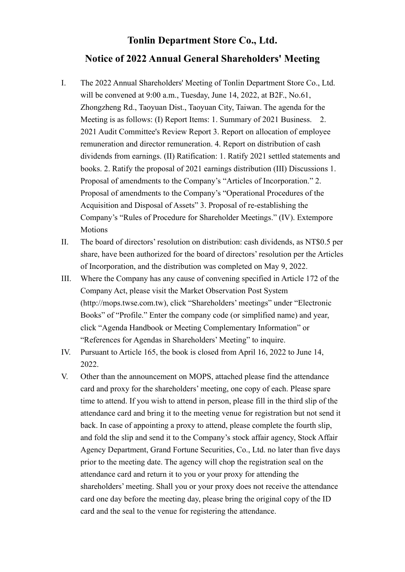## **Tonlin Department Store Co., Ltd. Notice of 2022 Annual General Shareholders' Meeting**

- I. The 2022 Annual Shareholders' Meeting of Tonlin Department Store Co., Ltd. will be convened at 9:00 a.m., Tuesday, June 14, 2022, at B2F., No.61, Zhongzheng Rd., Taoyuan Dist., Taoyuan City, Taiwan. The agenda for the Meeting is as follows: (I) Report Items: 1. Summary of 2021 Business. 2. 2021 Audit Committee's Review Report 3. Report on allocation of employee remuneration and director remuneration. 4. Report on distribution of cash dividends from earnings. (II) Ratification: 1. Ratify 2021 settled statements and books. 2. Ratify the proposal of 2021 earnings distribution (III) Discussions 1. Proposal of amendments to the Company's "Articles of Incorporation." 2. Proposal of amendments to the Company's "Operational Procedures of the Acquisition and Disposal of Assets" 3. Proposal of re-establishing the Company's "Rules of Procedure for Shareholder Meetings." (IV). Extempore Motions
- II. The board of directors' resolution on distribution: cash dividends, as NT\$0.5 per share, have been authorized for the board of directors' resolution per the Articles of Incorporation, and the distribution was completed on May 9, 2022.
- III. Where the Company has any cause of convening specified in Article 172 of the Company Act, please visit the Market Observation Post System (http://mops.twse.com.tw), click "Shareholders' meetings" under "Electronic Books" of "Profile." Enter the company code (or simplified name) and year, click "Agenda Handbook or Meeting Complementary Information" or "References for Agendas in Shareholders' Meeting" to inquire.
- IV. Pursuant to Article 165, the book is closed from April 16, 2022 to June 14, 2022.
- V. Other than the announcement on MOPS, attached please find the attendance card and proxy for the shareholders' meeting, one copy of each. Please spare time to attend. If you wish to attend in person, please fill in the third slip of the attendance card and bring it to the meeting venue for registration but not send it back. In case of appointing a proxy to attend, please complete the fourth slip, and fold the slip and send it to the Company's stock affair agency, Stock Affair Agency Department, Grand Fortune Securities, Co., Ltd. no later than five days prior to the meeting date. The agency will chop the registration seal on the attendance card and return it to you or your proxy for attending the shareholders' meeting. Shall you or your proxy does not receive the attendance card one day before the meeting day, please bring the original copy of the ID card and the seal to the venue for registering the attendance.